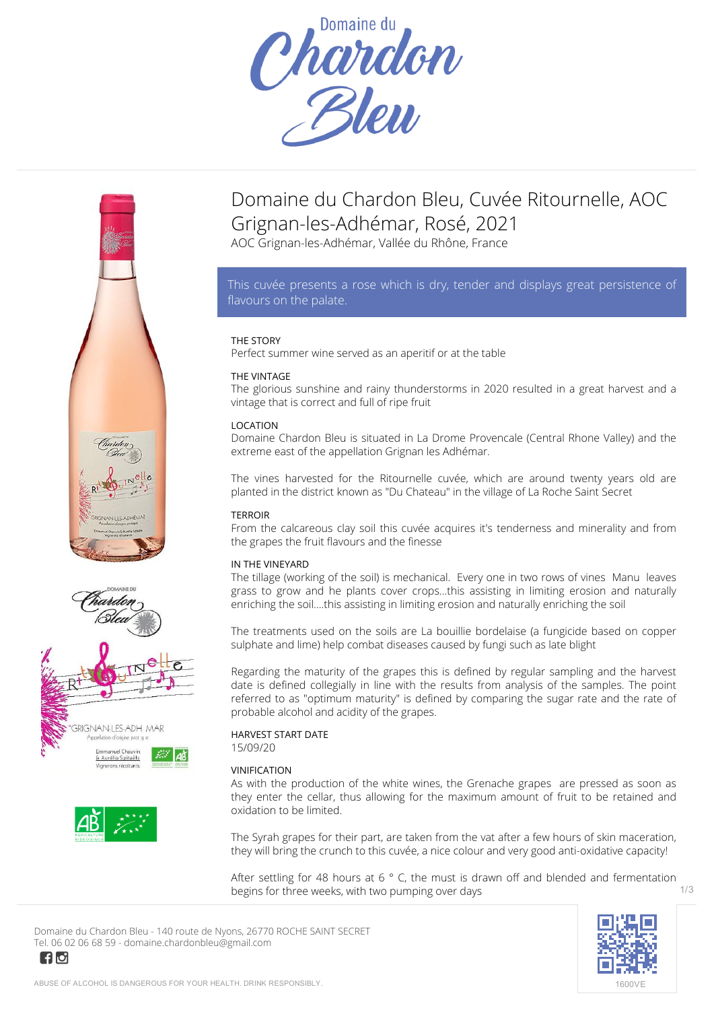







 $\blacksquare$ 

# **Domaine du Chardon Bleu, Cuvée Ritournelle, AOC Grignan-les-Adhémar, Rosé, 2021**

AOC Grignan-les-Adhémar, Vallée du Rhône, France

# *This cuvée presents a rose which is dry, tender and displays great persistence of flavours on the palate.*

## **THE STORY**

Perfect summer wine served as an aperitif or at the table

## **THE VINTAGE**

The glorious sunshine and rainy thunderstorms in 2020 resulted in a great harvest and a vintage that is correct and full of ripe fruit

## **LOCATION**

Domaine Chardon Bleu is situated in La Drome Provencale (Central Rhone Valley) and the extreme east of the appellation Grignan les Adhémar.

The vines harvested for the Ritournelle cuvée, which are around twenty years old are planted in the district known as "Du Chateau" in the village of La Roche Saint Secret

## **TERROIR**

From the calcareous clay soil this cuvée acquires it's tenderness and minerality and from the grapes the fruit flavours and the finesse

## **IN THE VINEYARD**

The tillage (working of the soil) is mechanical. Every one in two rows of vines Manu leaves grass to grow and he plants cover crops...this assisting in limiting erosion and naturally enriching the soil....this assisting in limiting erosion and naturally enriching the soil

The treatments used on the soils are La bouillie bordelaise (a fungicide based on copper sulphate and lime) help combat diseases caused by fungi such as late blight

Regarding the maturity of the grapes this is defined by regular sampling and the harvest date is defined collegially in line with the results from analysis of the samples. The point referred to as "optimum maturity" is defined by comparing the sugar rate and the rate of probable alcohol and acidity of the grapes.

## **HARVEST START DATE**

15/09/20

## **VINIFICATION**

As with the production of the white wines, the Grenache grapes are pressed as soon as they enter the cellar, thus allowing for the maximum amount of fruit to be retained and oxidation to be limited.

The Syrah grapes for their part, are taken from the vat after a few hours of skin maceration, they will bring the crunch to this cuvée, a nice colour and very good anti-oxidative capacity!

After settling for 48 hours at 6  $\degree$  C, the must is drawn off and blended and fermentation begins for three weeks, with two pumping over days 1/3

**Domaine du Chardon Bleu** - 140 route de Nyons, 26770 ROCHE SAINT SECRET Tel. 06 02 06 68 59 - domaine.chardonbleu@gmail.com

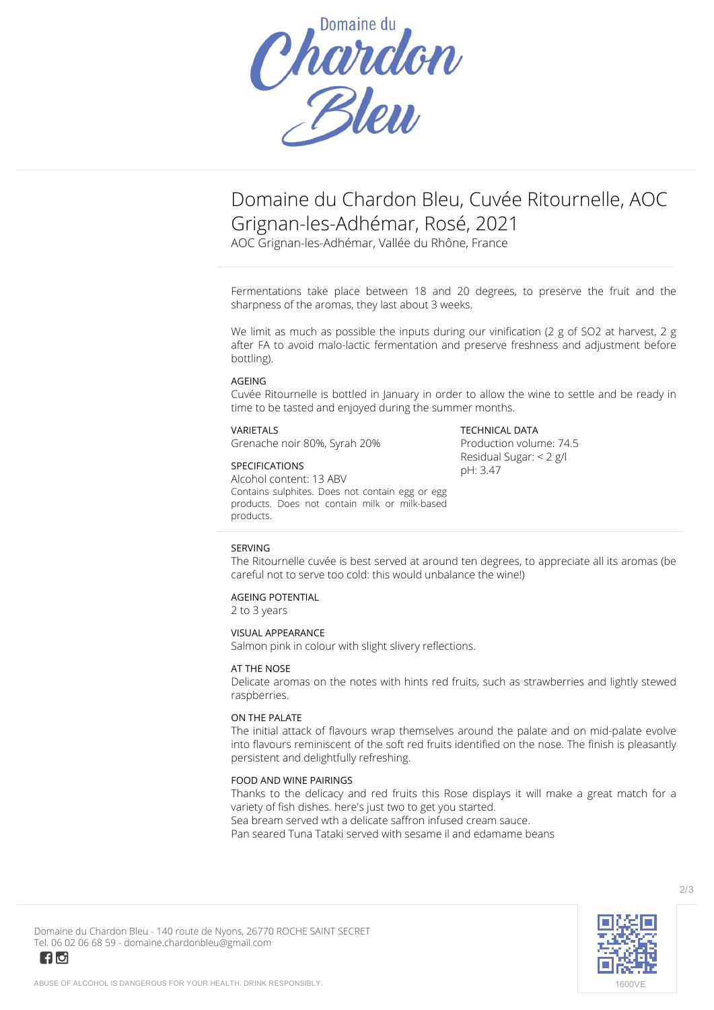

# **Domaine du Chardon Bleu, Cuvée Ritournelle, AOC Grignan-les-Adhémar, Rosé, 2021**

AOC Grignan-les-Adhémar, Vallée du Rhône, France

Fermentations take place between 18 and 20 degrees, to preserve the fruit and the sharpness of the aromas, they last about 3 weeks.

We limit as much as possible the inputs during our vinification (2 g of SO2 at harvest, 2 g after FA to avoid malo-lactic fermentation and preserve freshness and adjustment before bottling).

#### **AGEING**

Cuvée Ritournelle is bottled in January in order to allow the wine to settle and be ready in time to be tasted and enjoyed during the summer months.

#### **VARIETALS**

Grenache noir 80%, Syrah 20%

## **SPECIFICATIONS**

Alcohol content: 13 ABV Contains sulphites. Does not contain egg or egg products. Does not contain milk or milk-based products.

**TECHNICAL DATA** Production volume: 74.5 Residual Sugar: < 2 g/l pH: 3.47

#### **SERVING**

The Ritournelle cuvée is best served at around ten degrees, to appreciate all its aromas (be careful not to serve too cold: this would unbalance the wine!)

## **AGEING POTENTIAL**

2 to 3 years

#### **VISUAL APPEARANCE**

Salmon pink in colour with slight slivery reflections.

#### **AT THE NOSE**

Delicate aromas on the notes with hints red fruits, such as strawberries and lightly stewed raspberries.

#### **ON THE PALATE**

The initial attack of flavours wrap themselves around the palate and on mid-palate evolve into flavours reminiscent of the soft red fruits identified on the nose. The finish is pleasantly persistent and delightfully refreshing.

#### **FOOD AND WINE PAIRINGS**

Thanks to the delicacy and red fruits this Rose displays it will make a great match for a variety of fish dishes. here's just two to get you started. Sea bream served wth a delicate saffron infused cream sauce.

Pan seared Tuna Tataki served with sesame il and edamame beans



**Domaine du Chardon Bleu** - 140 route de Nyons, 26770 ROCHE SAINT SECRET Tel. 06 02 06 68 59 - domaine.chardonbleu@gmail.com

 $\blacksquare$